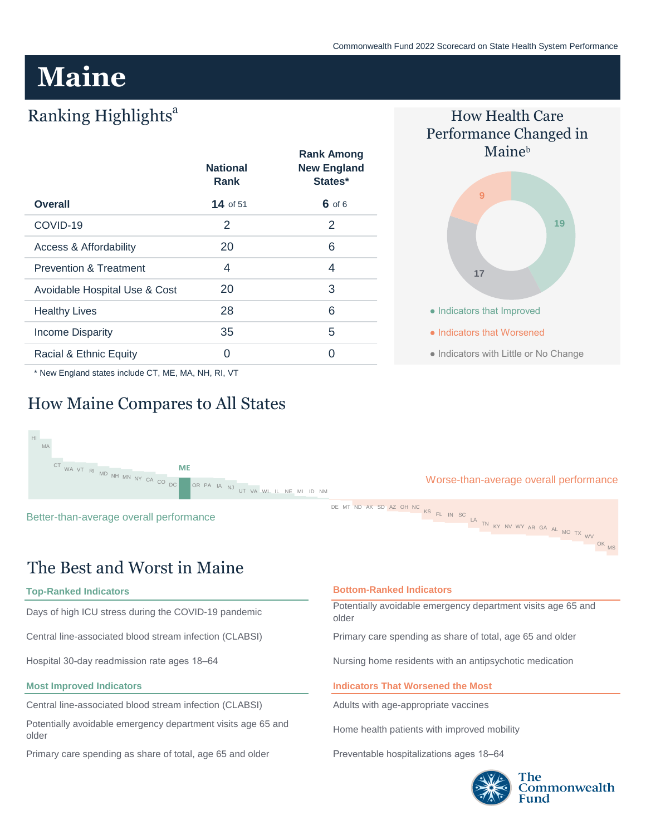# **Maine**

## Ranking Highlights<sup>a</sup>

|                                   | <b>National</b><br>Rank | <b>Rank Among</b><br><b>New England</b><br>States* |
|-----------------------------------|-------------------------|----------------------------------------------------|
| <b>Overall</b>                    | 14 of $51$              | $6$ of 6                                           |
| COVID-19                          | 2                       | 2                                                  |
| Access & Affordability            | 20                      | 6                                                  |
| <b>Prevention &amp; Treatment</b> | 4                       | 4                                                  |
| Avoidable Hospital Use & Cost     | 20                      | 3                                                  |
| <b>Healthy Lives</b>              | 28                      | 6                                                  |
| <b>Income Disparity</b>           | 35                      | 5                                                  |
| Racial & Ethnic Equity            | Ω                       | ∩                                                  |

\* New England states include CT, ME, MA, NH, RI, VT

## How Maine Compares to All States



## The Best and Worst in Maine

**Top-Ranked Indicators**

 $\overline{\mathsf{H}}$ MA

Days of high ICU stress during the COVID-19 pandemic

Central line-associated blood stream infection (CLABSI)

Hospital 30-day readmission rate ages 18–64

#### **Most Improved Indicators**

Central line-associated blood stream infection (CLABSI)

Potentially avoidable emergency department visits age 65 and older

Primary care spending as share of total, age 65 and older

#### **Bottom-Ranked Indicators**

Potentially avoidable emergency department visits age 65 and older

Primary care spending as share of total, age 65 and older

Nursing home residents with an antipsychotic medication

#### **Indicators That Worsened the Most**

Adults with age-appropriate vaccines

Home health patients with improved mobility

Preventable hospitalizations ages 18–64



OK MS

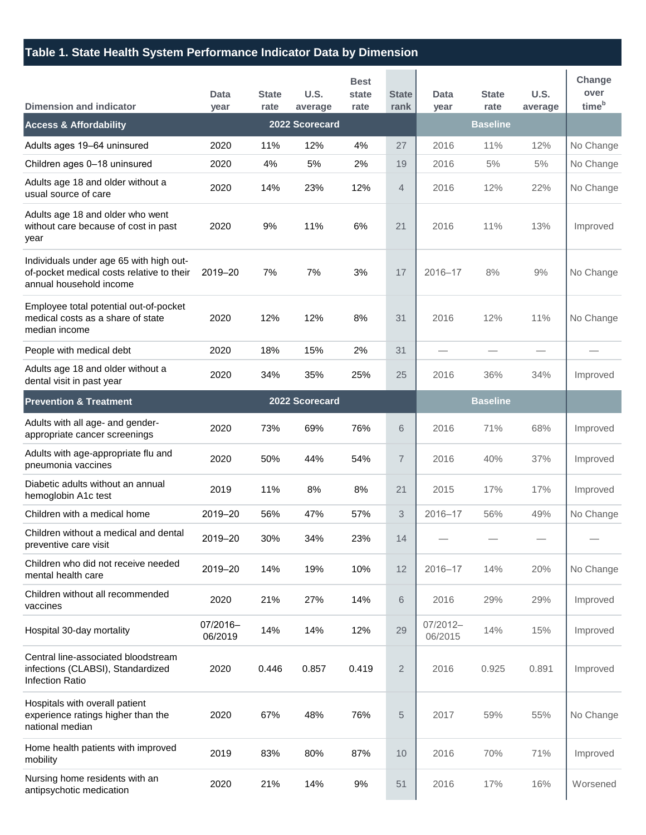### **Table 1. State Health System Performance Indicator Data by Dimension**

| <b>Dimension and indicator</b>                                                                                  | Data<br>year        | <b>State</b><br>rate | U.S.<br>average | <b>Best</b><br>state<br>rate | <b>State</b><br>rank | <b>Data</b><br>year | <b>State</b><br>rate | U.S.<br>average | Change<br>over<br>time <sup>b</sup> |
|-----------------------------------------------------------------------------------------------------------------|---------------------|----------------------|-----------------|------------------------------|----------------------|---------------------|----------------------|-----------------|-------------------------------------|
| <b>Access &amp; Affordability</b>                                                                               |                     |                      | 2022 Scorecard  |                              |                      |                     | <b>Baseline</b>      |                 |                                     |
| Adults ages 19-64 uninsured                                                                                     | 2020                | 11%                  | 12%             | 4%                           | 27                   | 2016                | 11%                  | 12%             | No Change                           |
| Children ages 0-18 uninsured                                                                                    | 2020                | 4%                   | 5%              | 2%                           | 19                   | 2016                | 5%                   | 5%              | No Change                           |
| Adults age 18 and older without a<br>usual source of care                                                       | 2020                | 14%                  | 23%             | 12%                          | $\overline{4}$       | 2016                | 12%                  | 22%             | No Change                           |
| Adults age 18 and older who went<br>without care because of cost in past<br>year                                | 2020                | 9%                   | 11%             | 6%                           | 21                   | 2016                | 11%                  | 13%             | Improved                            |
| Individuals under age 65 with high out-<br>of-pocket medical costs relative to their<br>annual household income | 2019-20             | 7%                   | 7%              | 3%                           | 17                   | $2016 - 17$         | 8%                   | 9%              | No Change                           |
| Employee total potential out-of-pocket<br>medical costs as a share of state<br>median income                    | 2020                | 12%                  | 12%             | 8%                           | 31                   | 2016                | 12%                  | 11%             | No Change                           |
| People with medical debt                                                                                        | 2020                | 18%                  | 15%             | 2%                           | 31                   |                     |                      |                 |                                     |
| Adults age 18 and older without a<br>dental visit in past year                                                  | 2020                | 34%                  | 35%             | 25%                          | 25                   | 2016                | 36%                  | 34%             | Improved                            |
| <b>Prevention &amp; Treatment</b>                                                                               |                     |                      | 2022 Scorecard  |                              |                      | <b>Baseline</b>     |                      |                 |                                     |
| Adults with all age- and gender-<br>appropriate cancer screenings                                               | 2020                | 73%                  | 69%             | 76%                          | 6                    | 2016                | 71%                  | 68%             | Improved                            |
| Adults with age-appropriate flu and<br>pneumonia vaccines                                                       | 2020                | 50%                  | 44%             | 54%                          | $\overline{7}$       | 2016                | 40%                  | 37%             | Improved                            |
| Diabetic adults without an annual<br>hemoglobin A1c test                                                        | 2019                | 11%                  | 8%              | 8%                           | 21                   | 2015                | 17%                  | 17%             | Improved                            |
| Children with a medical home                                                                                    | 2019-20             | 56%                  | 47%             | 57%                          | 3                    | 2016-17             | 56%                  | 49%             | No Change                           |
| Children without a medical and dental<br>preventive care visit                                                  | 2019-20             | 30%                  | 34%             | 23%                          | 14                   |                     |                      |                 |                                     |
| Children who did not receive needed<br>mental health care                                                       | 2019-20             | 14%                  | 19%             | 10%                          | 12                   | 2016-17             | 14%                  | 20%             | No Change                           |
| Children without all recommended<br>vaccines                                                                    | 2020                | 21%                  | 27%             | 14%                          | 6                    | 2016                | 29%                  | 29%             | Improved                            |
| Hospital 30-day mortality                                                                                       | 07/2016-<br>06/2019 | 14%                  | 14%             | 12%                          | 29                   | 07/2012-<br>06/2015 | 14%                  | 15%             | Improved                            |
| Central line-associated bloodstream<br>infections (CLABSI), Standardized<br>Infection Ratio                     | 2020                | 0.446                | 0.857           | 0.419                        | $\overline{2}$       | 2016                | 0.925                | 0.891           | Improved                            |
| Hospitals with overall patient<br>experience ratings higher than the<br>national median                         | 2020                | 67%                  | 48%             | 76%                          | 5                    | 2017                | 59%                  | 55%             | No Change                           |
| Home health patients with improved<br>mobility                                                                  | 2019                | 83%                  | 80%             | 87%                          | 10                   | 2016                | 70%                  | 71%             | Improved                            |
| Nursing home residents with an<br>antipsychotic medication                                                      | 2020                | 21%                  | 14%             | 9%                           | 51                   | 2016                | 17%                  | 16%             | Worsened                            |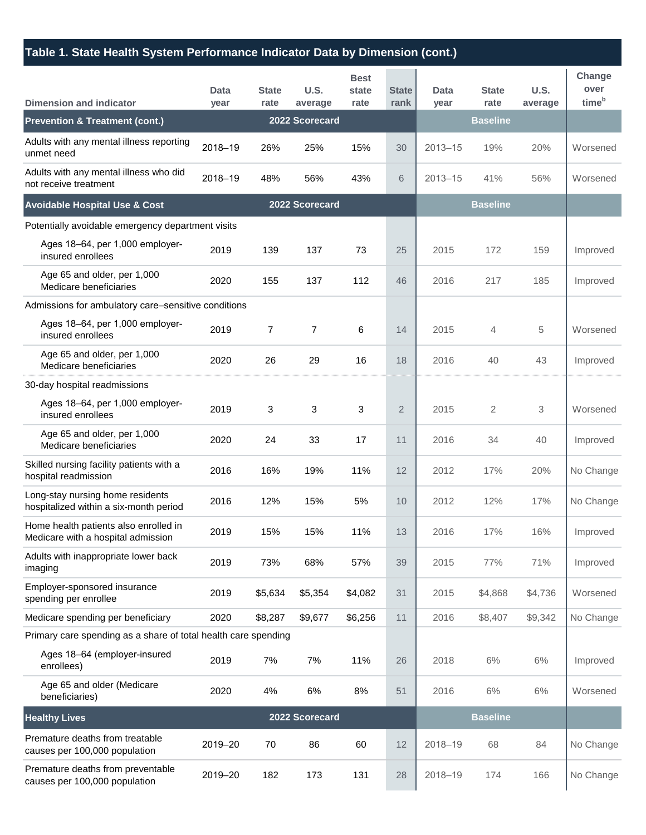### **Table 1. State Health System Performance Indicator Data by Dimension (cont.)**

| <b>Dimension and indicator</b>                                              | Data<br>year   | <b>State</b><br>rate | <b>U.S.</b><br>average | <b>Best</b><br>state<br>rate | <b>State</b><br>rank | Data<br>year | <b>State</b><br>rate | <b>U.S.</b><br>average | Change<br>over<br>time <sup>b</sup> |  |  |
|-----------------------------------------------------------------------------|----------------|----------------------|------------------------|------------------------------|----------------------|--------------|----------------------|------------------------|-------------------------------------|--|--|
| <b>Prevention &amp; Treatment (cont.)</b>                                   |                |                      | 2022 Scorecard         |                              |                      |              | <b>Baseline</b>      |                        |                                     |  |  |
| Adults with any mental illness reporting<br>unmet need                      | 2018-19        | 26%                  | 25%                    | 15%                          | 30                   | 2013-15      | 19%                  | 20%                    | Worsened                            |  |  |
| Adults with any mental illness who did<br>not receive treatment             | 2018-19        | 48%                  | 56%                    | 43%                          | 6                    | $2013 - 15$  | 41%                  | 56%                    | Worsened                            |  |  |
| <b>Avoidable Hospital Use &amp; Cost</b>                                    | 2022 Scorecard |                      |                        |                              |                      |              | <b>Baseline</b>      |                        |                                     |  |  |
| Potentially avoidable emergency department visits                           |                |                      |                        |                              |                      |              |                      |                        |                                     |  |  |
| Ages 18-64, per 1,000 employer-<br>insured enrollees                        | 2019           | 139                  | 137                    | 73                           | 25                   | 2015         | 172                  | 159                    | Improved                            |  |  |
| Age 65 and older, per 1,000<br>Medicare beneficiaries                       | 2020           | 155                  | 137                    | 112                          | 46                   | 2016         | 217                  | 185                    | Improved                            |  |  |
| Admissions for ambulatory care-sensitive conditions                         |                |                      |                        |                              |                      |              |                      |                        |                                     |  |  |
| Ages 18-64, per 1,000 employer-<br>insured enrollees                        | 2019           | $\overline{7}$       | $\overline{7}$         | 6                            | 14                   | 2015         | $\overline{4}$       | 5                      | Worsened                            |  |  |
| Age 65 and older, per 1,000<br>Medicare beneficiaries                       | 2020           | 26                   | 29                     | 16                           | 18                   | 2016         | 40                   | 43                     | Improved                            |  |  |
| 30-day hospital readmissions                                                |                |                      |                        |                              |                      |              |                      |                        |                                     |  |  |
| Ages 18-64, per 1,000 employer-<br>insured enrollees                        | 2019           | 3                    | 3                      | 3                            | $\overline{2}$       | 2015         | 2                    | 3                      | Worsened                            |  |  |
| Age 65 and older, per 1,000<br>Medicare beneficiaries                       | 2020           | 24                   | 33                     | 17                           | 11                   | 2016         | 34                   | 40                     | Improved                            |  |  |
| Skilled nursing facility patients with a<br>hospital readmission            | 2016           | 16%                  | 19%                    | 11%                          | 12                   | 2012         | 17%                  | 20%                    | No Change                           |  |  |
| Long-stay nursing home residents<br>hospitalized within a six-month period  | 2016           | 12%                  | 15%                    | 5%                           | 10                   | 2012         | 12%                  | 17%                    | No Change                           |  |  |
| Home health patients also enrolled in<br>Medicare with a hospital admission | 2019           | 15%                  | 15%                    | 11%                          | 13                   | 2016         | 17%                  | 16%                    | Improved                            |  |  |
| Adults with inappropriate lower back<br>imaging                             | 2019           | 73%                  | 68%                    | 57%                          | 39                   | 2015         | 77%                  | 71%                    | Improved                            |  |  |
| Employer-sponsored insurance<br>spending per enrollee                       | 2019           | \$5,634              | \$5,354                | \$4,082                      | 31                   | 2015         | \$4,868              | \$4,736                | Worsened                            |  |  |
| Medicare spending per beneficiary                                           | 2020           | \$8,287              | \$9,677                | \$6,256                      | 11                   | 2016         | \$8,407              | \$9,342                | No Change                           |  |  |
| Primary care spending as a share of total health care spending              |                |                      |                        |                              |                      |              |                      |                        |                                     |  |  |
| Ages 18-64 (employer-insured<br>enrollees)                                  | 2019           | 7%                   | 7%                     | 11%                          | 26                   | 2018         | 6%                   | 6%                     | Improved                            |  |  |
| Age 65 and older (Medicare<br>beneficiaries)                                | 2020           | 4%                   | 6%                     | 8%                           | 51                   | 2016         | 6%                   | 6%                     | Worsened                            |  |  |
| <b>Healthy Lives</b>                                                        | 2022 Scorecard |                      |                        |                              |                      |              |                      |                        |                                     |  |  |
| Premature deaths from treatable<br>causes per 100,000 population            | 2019-20        | 70                   | 86                     | 60                           | 12                   | 2018-19      | 68                   | 84                     | No Change                           |  |  |
| Premature deaths from preventable<br>causes per 100,000 population          | 2019-20        | 182                  | 173                    | 131                          | 28                   | 2018-19      | 174                  | 166                    | No Change                           |  |  |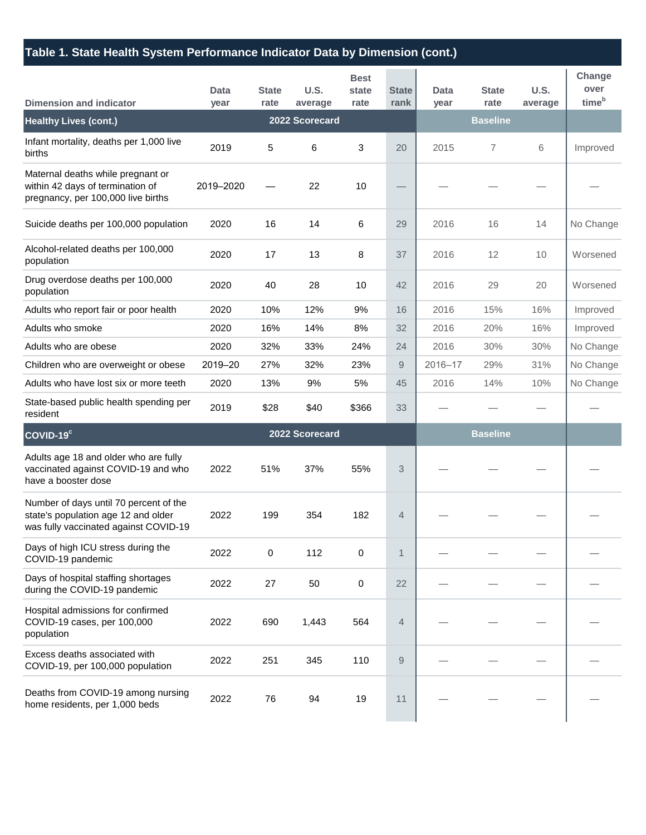### **Table 1. State Health System Performance Indicator Data by Dimension (cont.)**

| <b>Dimension and indicator</b>                                                                                         | Data<br>year | <b>State</b><br>rate | U.S.<br>average | <b>Best</b><br>state<br>rate | <b>State</b><br>rank | Data<br>year | <b>State</b><br>rate | U.S.<br>average | Change<br>over<br>time <sup>b</sup> |
|------------------------------------------------------------------------------------------------------------------------|--------------|----------------------|-----------------|------------------------------|----------------------|--------------|----------------------|-----------------|-------------------------------------|
| <b>Healthy Lives (cont.)</b>                                                                                           |              |                      | 2022 Scorecard  |                              |                      |              | <b>Baseline</b>      |                 |                                     |
| Infant mortality, deaths per 1,000 live<br>births                                                                      | 2019         | 5                    | 6               | 3                            | 20                   | 2015         | 7                    | 6               | Improved                            |
| Maternal deaths while pregnant or<br>within 42 days of termination of<br>pregnancy, per 100,000 live births            | 2019-2020    |                      | 22              | 10                           |                      |              |                      |                 |                                     |
| Suicide deaths per 100,000 population                                                                                  | 2020         | 16                   | 14              | 6                            | 29                   | 2016         | 16                   | 14              | No Change                           |
| Alcohol-related deaths per 100,000<br>population                                                                       | 2020         | 17                   | 13              | 8                            | 37                   | 2016         | 12                   | 10              | Worsened                            |
| Drug overdose deaths per 100,000<br>population                                                                         | 2020         | 40                   | 28              | 10                           | 42                   | 2016         | 29                   | 20              | Worsened                            |
| Adults who report fair or poor health                                                                                  | 2020         | 10%                  | 12%             | 9%                           | 16                   | 2016         | 15%                  | 16%             | Improved                            |
| Adults who smoke                                                                                                       | 2020         | 16%                  | 14%             | 8%                           | 32                   | 2016         | 20%                  | 16%             | Improved                            |
| Adults who are obese                                                                                                   | 2020         | 32%                  | 33%             | 24%                          | 24                   | 2016         | 30%                  | 30%             | No Change                           |
| Children who are overweight or obese                                                                                   | 2019-20      | 27%                  | 32%             | 23%                          | 9                    | 2016-17      | 29%                  | 31%             | No Change                           |
| Adults who have lost six or more teeth                                                                                 | 2020         | 13%                  | 9%              | 5%                           | 45                   | 2016         | 14%                  | 10%             | No Change                           |
| State-based public health spending per<br>resident                                                                     | 2019         | \$28                 | \$40            | \$366                        | 33                   |              |                      |                 |                                     |
| COVID-19 <sup>c</sup>                                                                                                  |              |                      | 2022 Scorecard  |                              |                      |              | <b>Baseline</b>      |                 |                                     |
| Adults age 18 and older who are fully<br>vaccinated against COVID-19 and who<br>have a booster dose                    | 2022         | 51%                  | 37%             | 55%                          | 3                    |              |                      |                 |                                     |
| Number of days until 70 percent of the<br>state's population age 12 and older<br>was fully vaccinated against COVID-19 | 2022         | 199                  | 354             | 182                          | $\overline{4}$       |              |                      |                 |                                     |
| Days of high ICU stress during the<br>COVID-19 pandemic                                                                | 2022         | 0                    | 112             | 0                            | 1                    |              |                      |                 |                                     |
| Days of hospital staffing shortages<br>during the COVID-19 pandemic                                                    | 2022         | 27                   | 50              | 0                            | 22                   |              |                      |                 |                                     |
| Hospital admissions for confirmed<br>COVID-19 cases, per 100,000<br>population                                         | 2022         | 690                  | 1,443           | 564                          | 4                    |              |                      |                 |                                     |
| Excess deaths associated with<br>COVID-19, per 100,000 population                                                      | 2022         | 251                  | 345             | 110                          | 9                    |              |                      |                 |                                     |
| Deaths from COVID-19 among nursing<br>home residents, per 1,000 beds                                                   | 2022         | 76                   | 94              | 19                           | 11                   |              |                      |                 |                                     |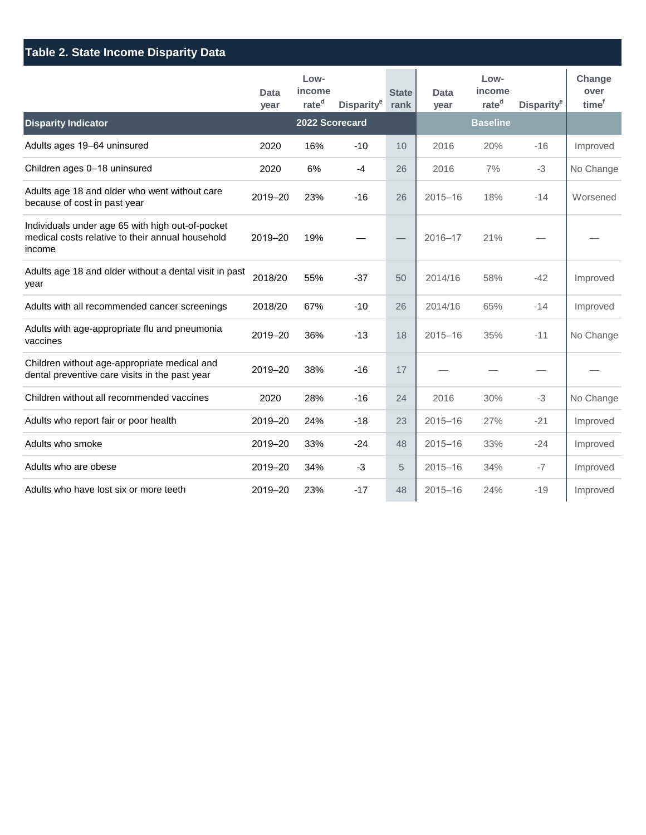| <b>Table 2. State Income Disparity Data</b>                                                                    |              |                                     |                        |                      |              |                                     |                        |                                     |  |
|----------------------------------------------------------------------------------------------------------------|--------------|-------------------------------------|------------------------|----------------------|--------------|-------------------------------------|------------------------|-------------------------------------|--|
|                                                                                                                | Data<br>year | Low-<br>income<br>rate <sup>d</sup> | Disparity <sup>e</sup> | <b>State</b><br>rank | Data<br>year | Low-<br>income<br>rate <sup>d</sup> | Disparity <sup>e</sup> | Change<br>over<br>time <sup>f</sup> |  |
| <b>Disparity Indicator</b>                                                                                     |              | 2022 Scorecard                      |                        |                      |              | <b>Baseline</b>                     |                        |                                     |  |
| Adults ages 19-64 uninsured                                                                                    | 2020         | 16%                                 | $-10$                  | 10                   | 2016         | 20%                                 | $-16$                  | Improved                            |  |
| Children ages 0-18 uninsured                                                                                   | 2020         | 6%                                  | $-4$                   | 26                   | 2016         | 7%                                  | $-3$                   | No Change                           |  |
| Adults age 18 and older who went without care<br>because of cost in past year                                  | 2019-20      | 23%                                 | $-16$                  | 26                   | $2015 - 16$  | 18%                                 | $-14$                  | Worsened                            |  |
| Individuals under age 65 with high out-of-pocket<br>medical costs relative to their annual household<br>income | 2019-20      | 19%                                 |                        |                      | $2016 - 17$  | 21%                                 |                        |                                     |  |
| Adults age 18 and older without a dental visit in past<br>year                                                 | 2018/20      | 55%                                 | $-37$                  | 50                   | 2014/16      | 58%                                 | $-42$                  | Improved                            |  |
| Adults with all recommended cancer screenings                                                                  | 2018/20      | 67%                                 | $-10$                  | 26                   | 2014/16      | 65%                                 | $-14$                  | Improved                            |  |
| Adults with age-appropriate flu and pneumonia<br>vaccines                                                      | 2019-20      | 36%                                 | $-13$                  | 18                   | $2015 - 16$  | 35%                                 | $-11$                  | No Change                           |  |
| Children without age-appropriate medical and<br>dental preventive care visits in the past year                 | 2019-20      | 38%                                 | $-16$                  | 17                   |              |                                     |                        |                                     |  |
| Children without all recommended vaccines                                                                      | 2020         | 28%                                 | $-16$                  | 24                   | 2016         | 30%                                 | $-3$                   | No Change                           |  |
| Adults who report fair or poor health                                                                          | 2019-20      | 24%                                 | $-18$                  | 23                   | $2015 - 16$  | 27%                                 | $-21$                  | Improved                            |  |
| Adults who smoke                                                                                               | 2019-20      | 33%                                 | -24                    | 48                   | $2015 - 16$  | 33%                                 | $-24$                  | Improved                            |  |
| Adults who are obese                                                                                           | 2019-20      | 34%                                 | $-3$                   | 5                    | $2015 - 16$  | 34%                                 | $-7$                   | Improved                            |  |
| Adults who have lost six or more teeth                                                                         | 2019-20      | 23%                                 | $-17$                  | 48                   | $2015 - 16$  | 24%                                 | $-19$                  | Improved                            |  |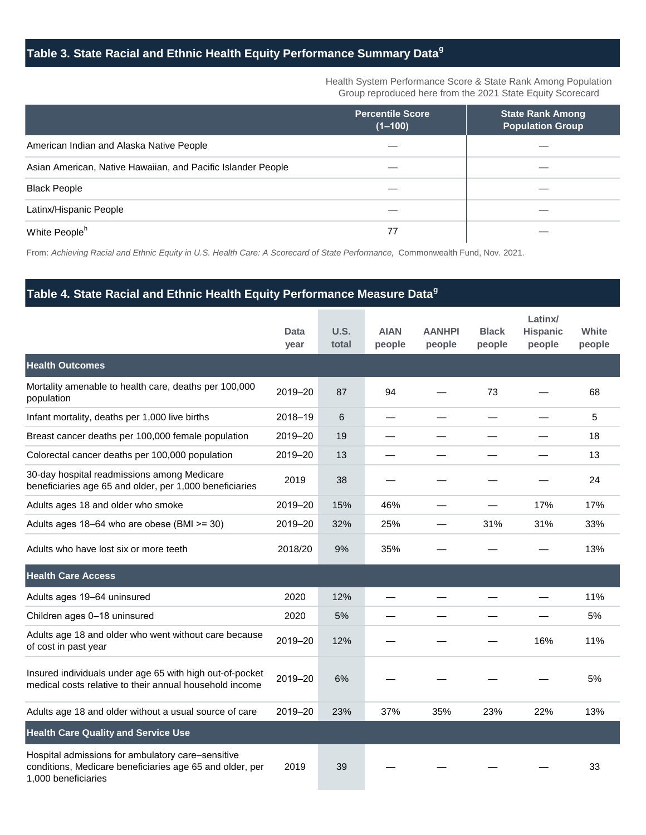## **Table 3. State Racial and Ethnic Health Equity Performance Summary Data<sup>g</sup>**

Health System Performance Score & State Rank Among Population Group reproduced here from the 2021 State Equity Scorecard

|                                                              | <b>Percentile Score</b><br>$(1 - 100)$ | <b>State Rank Among</b><br><b>Population Group</b> |
|--------------------------------------------------------------|----------------------------------------|----------------------------------------------------|
| American Indian and Alaska Native People                     |                                        |                                                    |
| Asian American, Native Hawaiian, and Pacific Islander People |                                        |                                                    |
| <b>Black People</b>                                          |                                        |                                                    |
| Latinx/Hispanic People                                       |                                        |                                                    |
| White People <sup>h</sup>                                    | 77                                     |                                                    |

From: *Achieving Racial and Ethnic Equity in U.S. Health Care: A Scorecard of State Performance,* Commonwealth Fund, Nov. 2021.

#### **Table 4. State Racial and Ethnic Health Equity Performance Measure Data<sup>g</sup>**

|                                                                                                                                      | Data<br>year | <b>U.S.</b><br>total | <b>AIAN</b><br>people | <b>AANHPI</b><br>people | <b>Black</b><br>people | Latinx/<br><b>Hispanic</b><br>people | White<br>people |
|--------------------------------------------------------------------------------------------------------------------------------------|--------------|----------------------|-----------------------|-------------------------|------------------------|--------------------------------------|-----------------|
| <b>Health Outcomes</b>                                                                                                               |              |                      |                       |                         |                        |                                      |                 |
| Mortality amenable to health care, deaths per 100,000<br>population                                                                  | 2019-20      | 87                   | 94                    |                         | 73                     |                                      | 68              |
| Infant mortality, deaths per 1,000 live births                                                                                       | 2018-19      | 6                    |                       |                         |                        |                                      | 5               |
| Breast cancer deaths per 100,000 female population                                                                                   | 2019-20      | 19                   |                       |                         |                        |                                      | 18              |
| Colorectal cancer deaths per 100,000 population                                                                                      | 2019-20      | 13                   |                       |                         |                        |                                      | 13              |
| 30-day hospital readmissions among Medicare<br>beneficiaries age 65 and older, per 1,000 beneficiaries                               | 2019         | 38                   |                       |                         |                        |                                      | 24              |
| Adults ages 18 and older who smoke                                                                                                   | 2019-20      | 15%                  | 46%                   |                         |                        | 17%                                  | 17%             |
| Adults ages 18–64 who are obese (BMI >= 30)                                                                                          | 2019-20      | 32%                  | 25%                   |                         | 31%                    | 31%                                  | 33%             |
| Adults who have lost six or more teeth                                                                                               | 2018/20      | 9%                   | 35%                   |                         |                        |                                      | 13%             |
| <b>Health Care Access</b>                                                                                                            |              |                      |                       |                         |                        |                                      |                 |
| Adults ages 19-64 uninsured                                                                                                          | 2020         | 12%                  |                       |                         |                        |                                      | 11%             |
| Children ages 0-18 uninsured                                                                                                         | 2020         | 5%                   |                       |                         |                        |                                      | 5%              |
| Adults age 18 and older who went without care because<br>of cost in past year                                                        | 2019-20      | 12%                  |                       |                         |                        | 16%                                  | 11%             |
| Insured individuals under age 65 with high out-of-pocket<br>medical costs relative to their annual household income                  | 2019-20      | 6%                   |                       |                         |                        |                                      | 5%              |
| Adults age 18 and older without a usual source of care                                                                               | 2019-20      | 23%                  | 37%                   | 35%                     | 23%                    | 22%                                  | 13%             |
| <b>Health Care Quality and Service Use</b>                                                                                           |              |                      |                       |                         |                        |                                      |                 |
| Hospital admissions for ambulatory care-sensitive<br>conditions, Medicare beneficiaries age 65 and older, per<br>1.000 beneficiaries | 2019         | 39                   |                       |                         |                        |                                      | 33              |